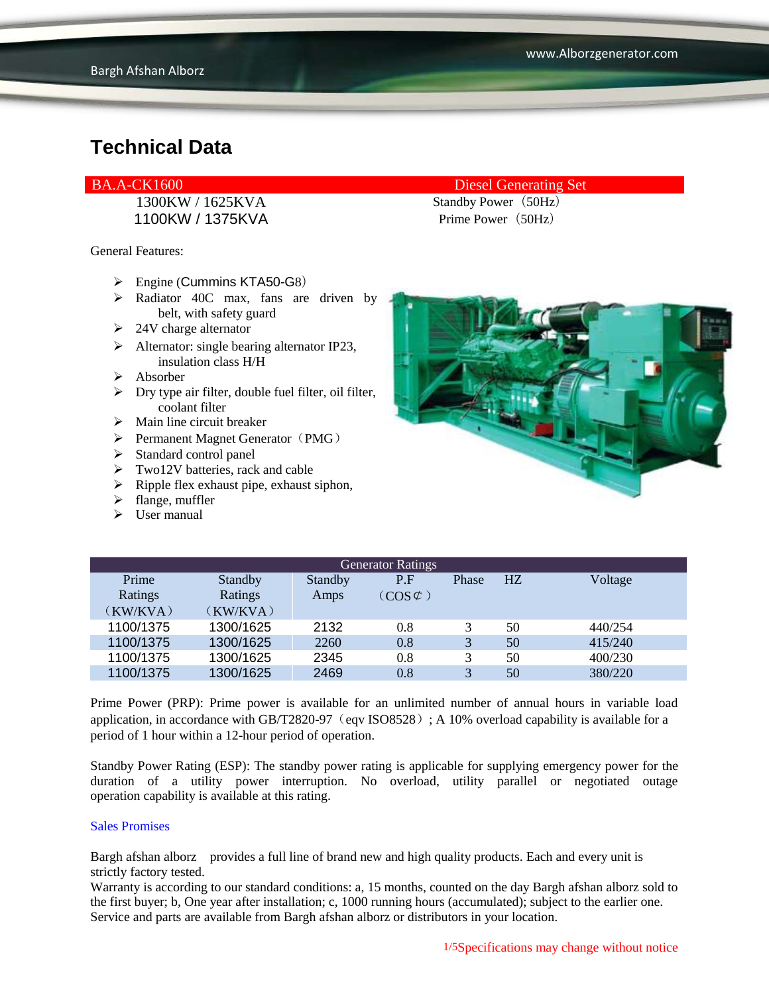1100KW / 1375KVA Prime Power (50Hz)

General Features:

- $\triangleright$  Engine (Cummins KTA50-G8)
- $\triangleright$  Radiator 40C max, fans are driven by belt, with safety guard
- $\geq$  24V charge alternator
- $\triangleright$  Alternator: single bearing alternator IP23, insulation class H/H
- $\triangleright$  Absorber
- $\triangleright$  Dry type air filter, double fuel filter, oil filter, coolant filter
- $\triangleright$  Main line circuit breaker
- $\triangleright$  Permanent Magnet Generator (PMG)
- > Standard control panel
- > Two12V batteries, rack and cable
- $\triangleright$  Ripple flex exhaust pipe, exhaust siphon,
- $\triangleright$  flange, muffler
- $\triangleright$  User manual

### BA.A-CK1600 Diesel Generating Set

1300KW / 1625KVA Standby Power (50Hz)



| <b>Generator Ratings</b> |           |         |                     |       |    |         |
|--------------------------|-----------|---------|---------------------|-------|----|---------|
| Prime                    | Standby   | Standby | P.F                 | Phase | HZ | Voltage |
| Ratings                  | Ratings   | Amps    | $(COS \mathcal{C})$ |       |    |         |
| (KW/KVA)                 | (KW/KVA)  |         |                     |       |    |         |
| 1100/1375                | 1300/1625 | 2132    | 0.8                 |       | 50 | 440/254 |
| 1100/1375                | 1300/1625 | 2260    | 0.8                 | 3     | 50 | 415/240 |
| 1100/1375                | 1300/1625 | 2345    | 0.8                 |       | 50 | 400/230 |
| 1100/1375                | 1300/1625 | 2469    | 0.8                 | 3     | 50 | 380/220 |

Prime Power (PRP): Prime power is available for an unlimited number of annual hours in variable load application, in accordance with GB/T2820-97 (eqv ISO8528); A 10% overload capability is available for a period of 1 hour within a 12-hour period of operation.

Standby Power Rating (ESP): The standby power rating is applicable for supplying emergency power for the duration of a utility power interruption. No overload, utility parallel or negotiated outage operation capability is available at this rating.

#### Sales Promises

Bargh afshan alborz provides a full line of brand new and high quality products. Each and every unit is strictly factory tested.

Warranty is according to our standard conditions: a, 15 months, counted on the day Bargh afshan alborz sold to the first buyer; b, One year after installation; c, 1000 running hours (accumulated); subject to the earlier one. Service and parts are available from Bargh afshan alborz or distributors in your location.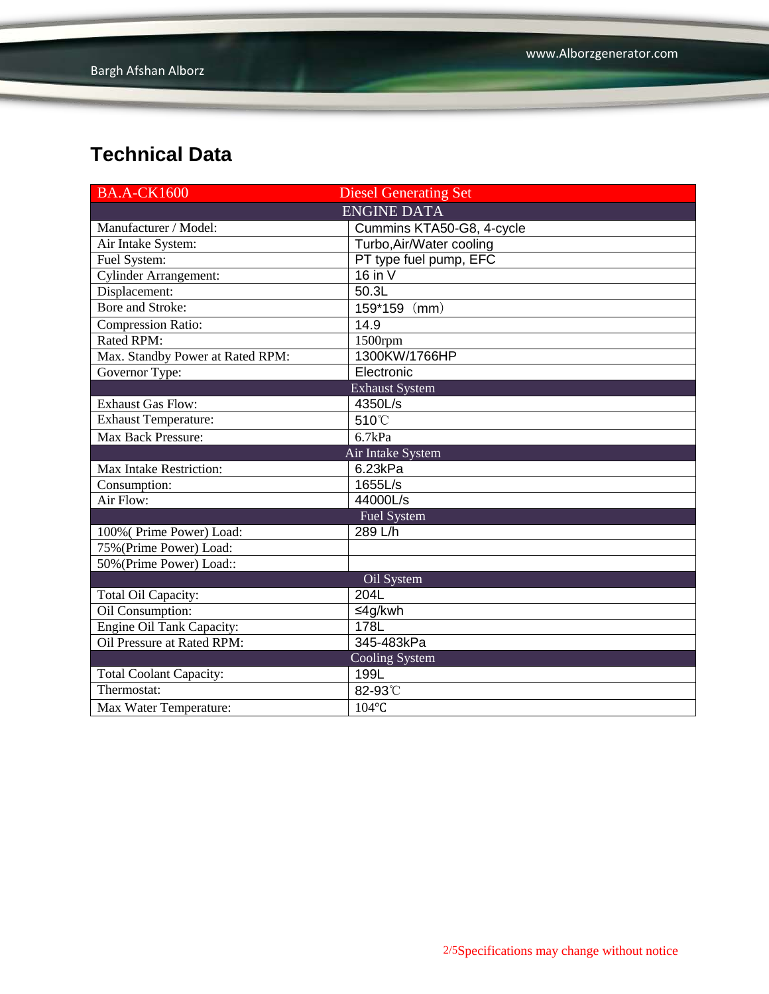| <b>BA.A-CK1600</b>               | <b>Diesel Generating Set</b> |  |  |
|----------------------------------|------------------------------|--|--|
|                                  | <b>ENGINE DATA</b>           |  |  |
| Manufacturer / Model:            | Cummins KTA50-G8, 4-cycle    |  |  |
| Air Intake System:               | Turbo, Air/Water cooling     |  |  |
| Fuel System:                     | PT type fuel pump, EFC       |  |  |
| <b>Cylinder Arrangement:</b>     | 16 in $V$                    |  |  |
| Displacement:                    | 50.3L                        |  |  |
| Bore and Stroke:                 | 159*159 (mm)                 |  |  |
| <b>Compression Ratio:</b>        | 14.9                         |  |  |
| Rated RPM:                       | 1500rpm                      |  |  |
| Max. Standby Power at Rated RPM: | 1300KW/1766HP                |  |  |
| Governor Type:                   | Electronic                   |  |  |
|                                  | <b>Exhaust System</b>        |  |  |
| Exhaust Gas Flow:                | 4350L/s                      |  |  |
| <b>Exhaust Temperature:</b>      | 510°C                        |  |  |
| <b>Max Back Pressure:</b>        | 6.7kPa                       |  |  |
|                                  | Air Intake System            |  |  |
| Max Intake Restriction:          | 6.23kPa                      |  |  |
| Consumption:                     | 1655L/s                      |  |  |
| Air Flow:                        | 44000L/s                     |  |  |
| Fuel System                      |                              |  |  |
| 100% (Prime Power) Load:         | 289 L/h                      |  |  |
| 75% (Prime Power) Load:          |                              |  |  |
| 50% (Prime Power) Load::         |                              |  |  |
|                                  | Oil System                   |  |  |
| Total Oil Capacity:              | 204L                         |  |  |
| Oil Consumption:                 | ≤4g/kwh                      |  |  |
| <b>Engine Oil Tank Capacity:</b> | 178L                         |  |  |
| Oil Pressure at Rated RPM:       | 345-483kPa                   |  |  |
|                                  | <b>Cooling System</b>        |  |  |
| <b>Total Coolant Capacity:</b>   | 199L                         |  |  |
| Thermostat:                      | 82-93°C                      |  |  |
| Max Water Temperature:           | 104°C                        |  |  |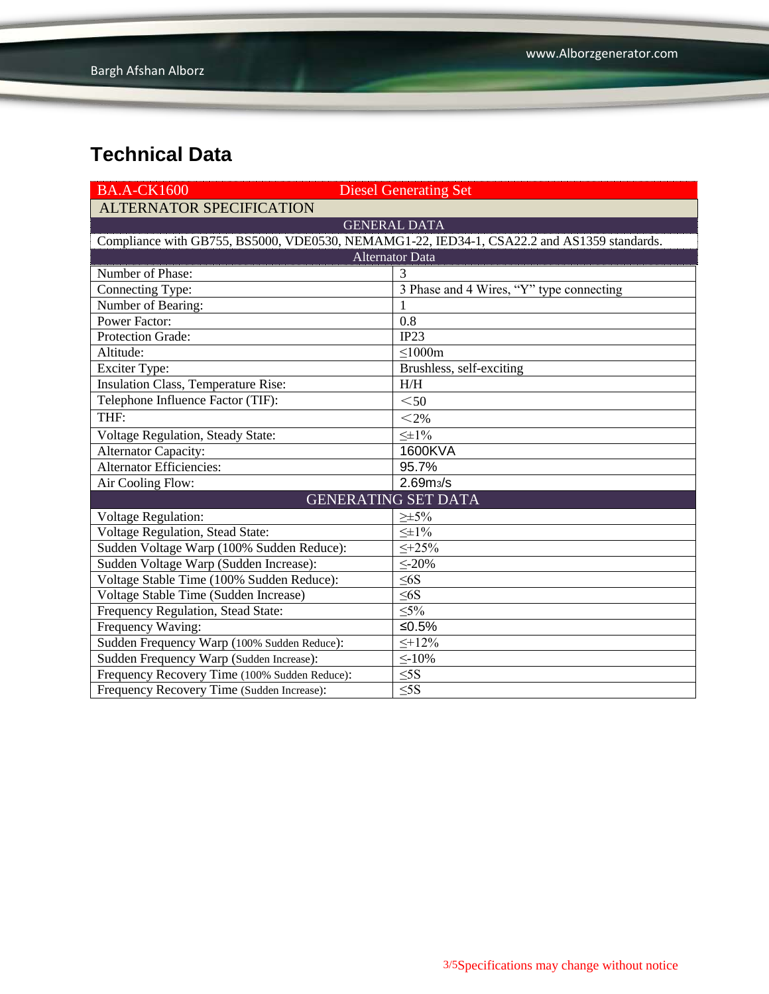| <b>BA.A-CK1600</b>                                                                         | <b>Diesel Generating Set</b>             |  |  |  |
|--------------------------------------------------------------------------------------------|------------------------------------------|--|--|--|
| <b>ALTERNATOR SPECIFICATION</b>                                                            |                                          |  |  |  |
|                                                                                            | <b>GENERAL DATA</b>                      |  |  |  |
| Compliance with GB755, BS5000, VDE0530, NEMAMG1-22, IED34-1, CSA22.2 and AS1359 standards. |                                          |  |  |  |
| <b>Alternator Data</b>                                                                     |                                          |  |  |  |
| Number of Phase:                                                                           | 3                                        |  |  |  |
| Connecting Type:                                                                           | 3 Phase and 4 Wires, "Y" type connecting |  |  |  |
| Number of Bearing:                                                                         |                                          |  |  |  |
| <b>Power Factor:</b>                                                                       | 0.8                                      |  |  |  |
| <b>Protection Grade:</b>                                                                   | IP23                                     |  |  |  |
| Altitude:                                                                                  | $\leq$ 1000m                             |  |  |  |
| Exciter Type:                                                                              | Brushless, self-exciting                 |  |  |  |
| <b>Insulation Class, Temperature Rise:</b>                                                 | H/H                                      |  |  |  |
| Telephone Influence Factor (TIF):                                                          | $50$                                     |  |  |  |
| THF:                                                                                       | $<$ 2%                                   |  |  |  |
| <b>Voltage Regulation, Steady State:</b>                                                   | $\leq \pm 1\%$                           |  |  |  |
| Alternator Capacity:                                                                       | 1600KVA                                  |  |  |  |
| <b>Alternator Efficiencies:</b>                                                            | 95.7%                                    |  |  |  |
| Air Cooling Flow:                                                                          | 2.69 <sub>m3</sub> /s                    |  |  |  |
|                                                                                            | <b>GENERATING SET DATA</b>               |  |  |  |
| <b>Voltage Regulation:</b>                                                                 | $\geq \pm 5\%$                           |  |  |  |
| <b>Voltage Regulation, Stead State:</b>                                                    | $\leq \pm 1\%$                           |  |  |  |
| Sudden Voltage Warp (100% Sudden Reduce):                                                  | $\leq +25\%$                             |  |  |  |
| Sudden Voltage Warp (Sudden Increase):                                                     | $\leq$ -20%                              |  |  |  |
| Voltage Stable Time (100% Sudden Reduce):                                                  | $\leq$ 6S                                |  |  |  |
| Voltage Stable Time (Sudden Increase)                                                      | $\leq 6S$                                |  |  |  |
| Frequency Regulation, Stead State:                                                         | $\leq 5\%$                               |  |  |  |
| Frequency Waving:                                                                          | ≤ $0.5%$                                 |  |  |  |
| Sudden Frequency Warp (100% Sudden Reduce):                                                | $\leq +12\%$                             |  |  |  |
| Sudden Frequency Warp (Sudden Increase):                                                   | $\leq$ -10%                              |  |  |  |
| Frequency Recovery Time (100% Sudden Reduce):                                              | $\leq$ 5S                                |  |  |  |
| Frequency Recovery Time (Sudden Increase):                                                 | $\overline{\leq}$ 5S                     |  |  |  |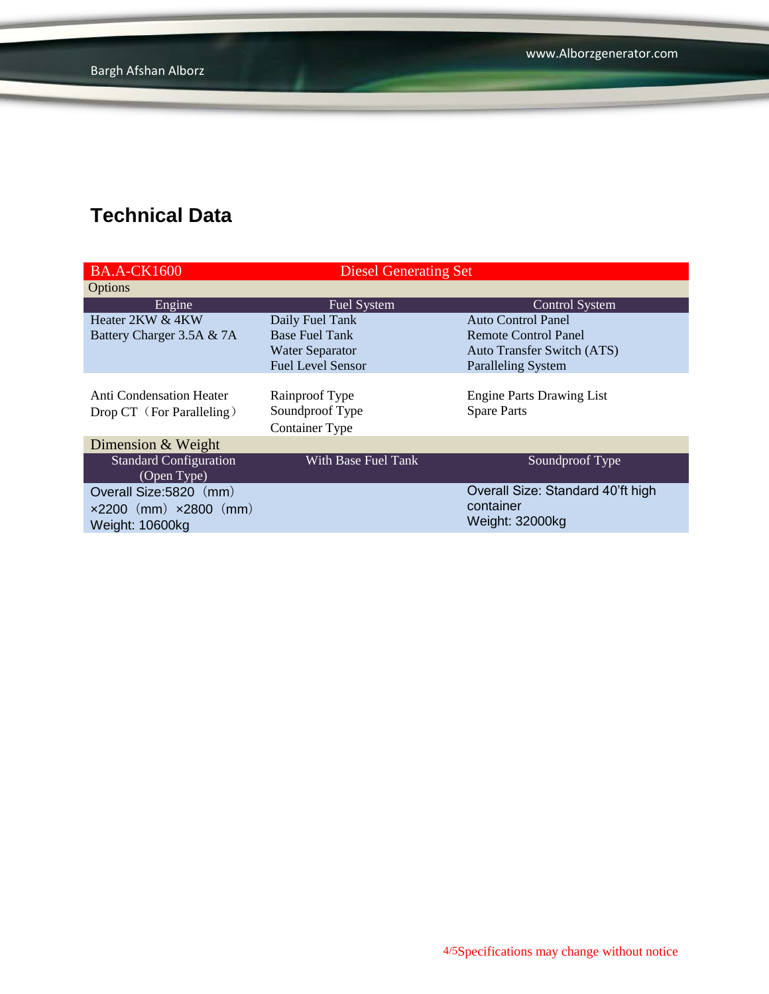| <b>BA.A-CK1600</b>                                                                         | <b>Diesel Generating Set</b>                               |                                                                   |  |
|--------------------------------------------------------------------------------------------|------------------------------------------------------------|-------------------------------------------------------------------|--|
| Options                                                                                    |                                                            |                                                                   |  |
| Engine                                                                                     | <b>Fuel System</b>                                         | <b>Control System</b>                                             |  |
| Heater 2KW & 4KW                                                                           | Daily Fuel Tank                                            | <b>Auto Control Panel</b>                                         |  |
| Battery Charger 3.5A & 7A                                                                  | <b>Base Fuel Tank</b>                                      | Remote Control Panel                                              |  |
|                                                                                            | <b>Water Separator</b>                                     | <b>Auto Transfer Switch (ATS)</b>                                 |  |
|                                                                                            | <b>Fuel Level Sensor</b>                                   | <b>Paralleling System</b>                                         |  |
| <b>Anti Condensation Heater</b><br>Drop CT (For Paralleling)                               | Rainproof Type<br>Soundproof Type<br><b>Container Type</b> | <b>Engine Parts Drawing List</b><br><b>Spare Parts</b>            |  |
| Dimension & Weight                                                                         |                                                            |                                                                   |  |
| <b>Standard Configuration</b><br>(Open Type)                                               | With Base Fuel Tank                                        | Soundproof Type                                                   |  |
| Overall Size: 5820 (mm)<br>$\times 2200$ (mm) $\times 2800$ (mm)<br><b>Weight: 10600kg</b> |                                                            | Overall Size: Standard 40'ft high<br>container<br>Weight: 32000kg |  |